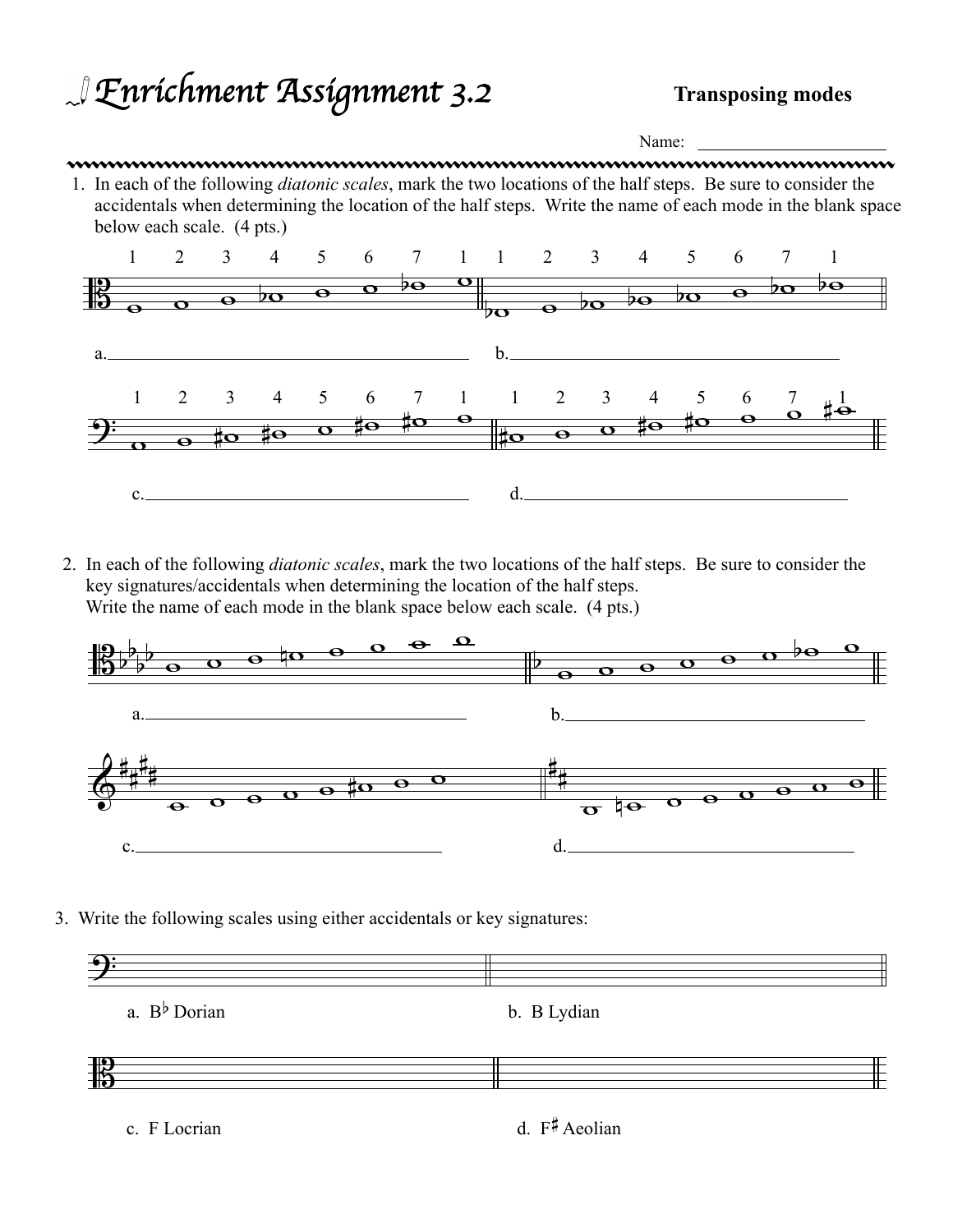## !*nrichment Assignment 3.2* **Transposing modes**



2. In each of the following *diatonic scales*, mark the two locations of the half steps. Be sure to consider the key signatures/accidentals when determining the location of the half steps. Write the name of each mode in the blank space below each scale. (4 pts.)



3. Write the following scales using either accidentals or key signatures: